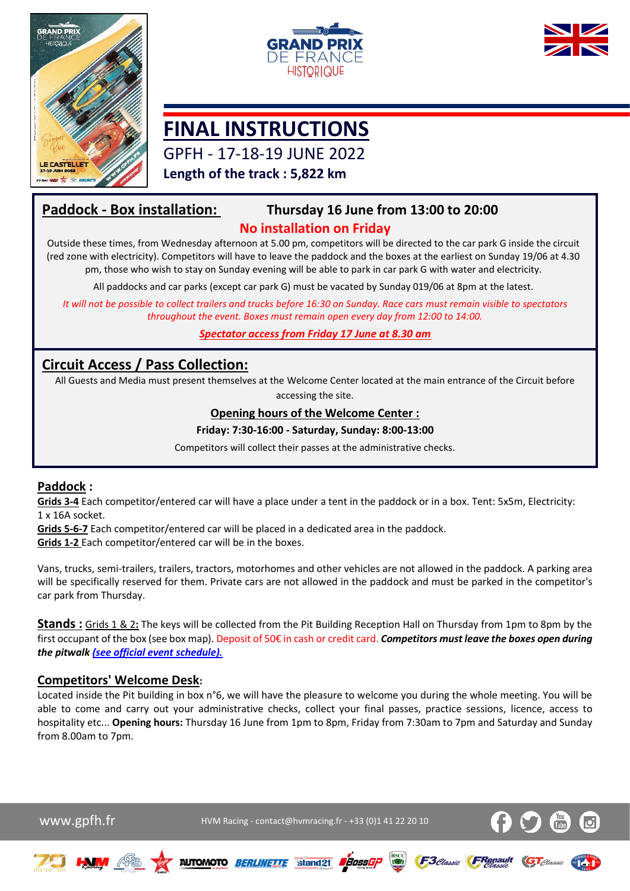





# **FINAL INSTRUCTIONS**

GPFH - 17-18-19 JUNE 2022

**Length of the track : 5,822 km**

## **Paddock - Box installation: Thursday 16 June from 13:00 to 20:00**

## **No installation on Friday**

Outside these times, from Wednesday afternoon at 5.00 pm, competitors will be directed to the car park G inside the circuit (red zone with electricity). Competitors will have to leave the paddock and the boxes at the earliest on Sunday 19/06 at 4.30 pm, those who wish to stay on Sunday evening will be able to park in car park G with water and electricity.

All paddocks and car parks (except car park G) must be vacated by Sunday 019/06 at 8pm at the latest.

*It will not be possible to collect trailers and trucks before 16:30 on Sunday. Race cars must remain visible to spectators throughout the event. Boxes must remain open every day from 12:00 to 14:00.*

*Spectator access from Friday 17 June at 8.30 am*

## **Circuit Access / Pass Collection:**

All Guests and Media must present themselves at the Welcome Center located at the main entrance of the Circuit before accessing the site.

## **Opening hours of the Welcome Center :**

#### **Friday: 7:30-16:00 - Saturday, Sunday: 8:00-13:00**

Competitors will collect their passes at the administrative checks.

## **Paddock :**

**Grids 3-4** Each competitor/entered car will have a place under a tent in the paddock or in a box. Tent: 5x5m, Electricity: 1 x 16A socket.

**Grids 5-6-7** Each competitor/entered car will be placed in a dedicated area in the paddock.

**Grids 1-2** Each competitor/entered car will be in the boxes.

Vans, trucks, semi-trailers, trailers, tractors, motorhomes and other vehicles are not allowed in the paddock. A parking area will be specifically reserved for them. Private cars are not allowed in the paddock and must be parked in the competitor's car park from Thursday.

**Stands :** Grids 1 & 2**:** The keys will be collected from the Pit Building Reception Hall on Thursday from 1pm to 8pm by the first occupant of the box (see box map). Deposit of 50€ in cash or credit card. *Competitors must leave the boxes open during the pitwalk [\(see official event schedule\).](https://www.hvmracing.fr/wp-content/uploads/2022/05/HORAIRES-GPFH-2022_V2-avec-Briefing.pdf)*

## **Competitors' Welcome Desk:**

Located inside the Pit building in box n°6, we will have the pleasure to welcome you during the whole meeting. You will be able to come and carry out your administrative checks, collect your final passes, practice sessions, licence, access to hospitality etc... **Opening hours:** Thursday 16 June from 1pm to 8pm, Friday from 7:30am to 7pm and Saturday and Sunday from 8.00am to 7pm.

WWW.gpfh.fr  $WW$  HVM Racing - contact@hvmracing.fr - +33 (0)1 41 22 20 10









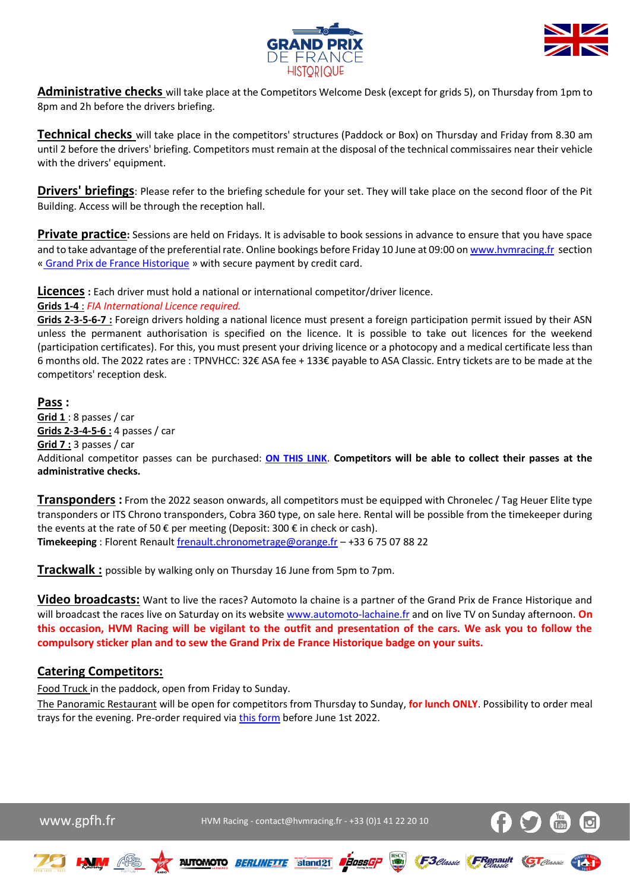



**Administrative checks** will take place at the Competitors Welcome Desk (except for grids 5), on Thursday from 1pm to 8pm and 2h before the drivers briefing.

**Technical checks** will take place in the competitors' structures (Paddock or Box) on Thursday and Friday from 8.30 am until 2 before the drivers' briefing. Competitors must remain at the disposal of the technical commissaires near their vehicle with the drivers' equipment.

**Drivers' briefings**: Please refer to the briefing schedule for your set. They will take place on the second floor of the Pit Building. Access will be through the reception hall.

**Private practice:** Sessions are held on Fridays. It is advisable to book sessions in advance to ensure that you have space and to take advantage of the preferential rate. Online bookings before Friday 10 June at 09:00 o[n www.hvmracing.fr](http://www.hvmracing.fr/) section « [Grand Prix de France Historique](https://www.hvmracing.fr/evenements/gp-de-france-historique/) » with secure payment by credit card.

**Licences :** Each driver must hold a national or international competitor/driver licence.

#### **Grids 1-4** : *FIA International Licence required.*

**Grids 2-3-5-6-7 :** Foreign drivers holding a national licence must present a foreign participation permit issued by their ASN unless the permanent authorisation is specified on the licence. It is possible to take out licences for the weekend (participation certificates). For this, you must present your driving licence or a photocopy and a medical certificate less than 6 months old. The 2022 rates are : TPNVHCC: 32€ ASA fee + 133€ payable to ASA Classic. Entry tickets are to be made at the competitors' reception desk.

#### **Pass :**

**Grid 1** : 8 passes / car **Grids 2-3-4-5-6 :** 4 passes / car **Grid 7 :** 3 passes / car Additional competitor passes can be purchased: **[ON THIS LINK](https://www.hvmracing.fr/produit/5-22-pass-supplementaires-concurrents-pass-competitors-gp-de-france-historique-2022-ref-70600024s2/)**. **Competitors will be able to collect their passes at the administrative checks.**

**Transponders :** From the 2022 season onwards, all competitors must be equipped with Chronelec / Tag Heuer Elite type transponders or ITS Chrono transponders, Cobra 360 type, on sale here. Rental will be possible from the timekeeper during the events at the rate of 50  $\epsilon$  per meeting (Deposit: 300  $\epsilon$  in check or cash). **Timekeeping** : Florent Renaul[t frenault.chronometrage@orange.fr](mailto:frenault.chronometrage@orange.fr) – +33 6 75 07 88 22

**Trackwalk :** possible by walking only on Thursday 16 June from 5pm to 7pm.

**Video broadcasts:** Want to live the races? Automoto la chaine is a partner of the Grand Prix de France Historique and will broadcast the races live on Saturday on its website [www.automoto-lachaine.fr](http://www.automoto-lachaine.fr/) and on live TV on Sunday afternoon. **On this occasion, HVM Racing will be vigilant to the outfit and presentation of the cars. We ask you to follow the compulsory sticker plan and to sew the Grand Prix de France Historique badge on your suits.**

### **Catering Competitors:**

Food Truck in the paddock, open from Friday to Sunday.

The Panoramic Restaurant will be open for competitors from Thursday to Sunday, **for lunch ONLY**. Possibility to order meal trays for the evening. Pre-order required via [this form](https://www.hvmracing.fr/wp-content/uploads/2022/05/OrderForm-Catering-GP-F1-HISTORIQUE-2022.xlsx) before June 1st 2022.

WWW.gpfh.fr  $WW$  HVM Racing - contact@hvmracing.fr - +33 (0)1 41 22 20 10



F<sub>3</sub>*Classic* FRenault